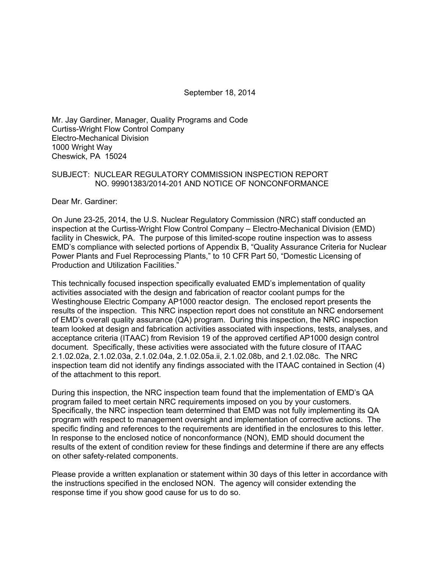September 18, 2014

Mr. Jay Gardiner, Manager, Quality Programs and Code Curtiss-Wright Flow Control Company Electro-Mechanical Division 1000 Wright Way Cheswick, PA 15024

#### SUBJECT: NUCLEAR REGULATORY COMMISSION INSPECTION REPORT NO. 99901383/2014-201 AND NOTICE OF NONCONFORMANCE

Dear Mr. Gardiner:

On June 23-25, 2014, the U.S. Nuclear Regulatory Commission (NRC) staff conducted an inspection at the Curtiss-Wright Flow Control Company – Electro-Mechanical Division (EMD) facility in Cheswick, PA. The purpose of this limited-scope routine inspection was to assess EMD's compliance with selected portions of Appendix B, "Quality Assurance Criteria for Nuclear Power Plants and Fuel Reprocessing Plants," to 10 CFR Part 50, "Domestic Licensing of Production and Utilization Facilities."

This technically focused inspection specifically evaluated EMD's implementation of quality activities associated with the design and fabrication of reactor coolant pumps for the Westinghouse Electric Company AP1000 reactor design. The enclosed report presents the results of the inspection. This NRC inspection report does not constitute an NRC endorsement of EMD's overall quality assurance (QA) program. During this inspection, the NRC inspection team looked at design and fabrication activities associated with inspections, tests, analyses, and acceptance criteria (ITAAC) from Revision 19 of the approved certified AP1000 design control document. Specifically, these activities were associated with the future closure of ITAAC 2.1.02.02a, 2.1.02.03a, 2.1.02.04a, 2.1.02.05a.ii, 2.1.02.08b, and 2.1.02.08c. The NRC inspection team did not identify any findings associated with the ITAAC contained in Section (4) of the attachment to this report.

During this inspection, the NRC inspection team found that the implementation of EMD's QA program failed to meet certain NRC requirements imposed on you by your customers. Specifically, the NRC inspection team determined that EMD was not fully implementing its QA program with respect to management oversight and implementation of corrective actions. The specific finding and references to the requirements are identified in the enclosures to this letter. In response to the enclosed notice of nonconformance (NON), EMD should document the results of the extent of condition review for these findings and determine if there are any effects on other safety-related components.

Please provide a written explanation or statement within 30 days of this letter in accordance with the instructions specified in the enclosed NON. The agency will consider extending the response time if you show good cause for us to do so.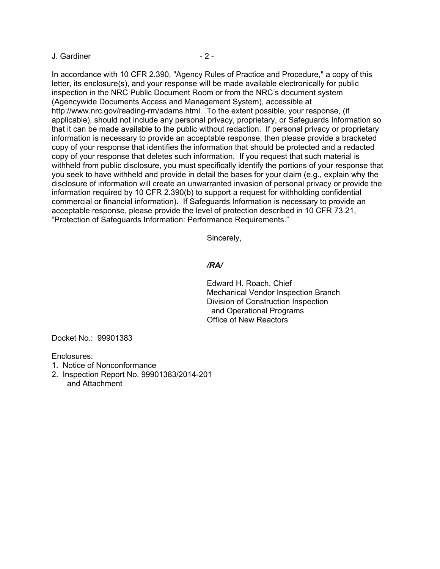#### J. Gardiner - 2 -

In accordance with 10 CFR 2.390, "Agency Rules of Practice and Procedure," a copy of this letter, its enclosure(s), and your response will be made available electronically for public inspection in the NRC Public Document Room or from the NRC's document system (Agencywide Documents Access and Management System), accessible at http://www.nrc.gov/reading-rm/adams.html. To the extent possible, your response, (if applicable), should not include any personal privacy, proprietary, or Safeguards Information so that it can be made available to the public without redaction. If personal privacy or proprietary information is necessary to provide an acceptable response, then please provide a bracketed copy of your response that identifies the information that should be protected and a redacted copy of your response that deletes such information. If you request that such material is withheld from public disclosure, you must specifically identify the portions of your response that you seek to have withheld and provide in detail the bases for your claim (e.g., explain why the disclosure of information will create an unwarranted invasion of personal privacy or provide the information required by 10 CFR 2.390(b) to support a request for withholding confidential commercial or financial information). If Safeguards Information is necessary to provide an acceptable response, please provide the level of protection described in 10 CFR 73.21, "Protection of Safeguards Information: Performance Requirements."

Sincerely,

### */RA/*

Edward H. Roach, Chief Mechanical Vendor Inspection Branch Division of Construction Inspection and Operational Programs Office of New Reactors

Docket No.: 99901383

Enclosures:

- 1. Notice of Nonconformance
- 2. Inspection Report No. 99901383/2014-201
	- and Attachment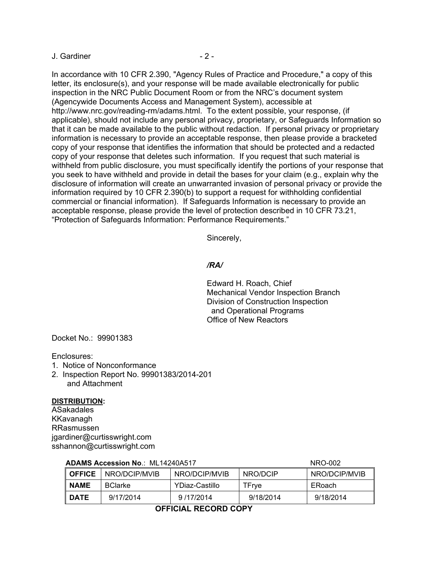#### J. Gardiner - 2 -

In accordance with 10 CFR 2.390, "Agency Rules of Practice and Procedure," a copy of this letter, its enclosure(s), and your response will be made available electronically for public inspection in the NRC Public Document Room or from the NRC's document system (Agencywide Documents Access and Management System), accessible at http://www.nrc.gov/reading-rm/adams.html. To the extent possible, your response, (if applicable), should not include any personal privacy, proprietary, or Safeguards Information so that it can be made available to the public without redaction. If personal privacy or proprietary information is necessary to provide an acceptable response, then please provide a bracketed copy of your response that identifies the information that should be protected and a redacted copy of your response that deletes such information. If you request that such material is withheld from public disclosure, you must specifically identify the portions of your response that you seek to have withheld and provide in detail the bases for your claim (e.g., explain why the disclosure of information will create an unwarranted invasion of personal privacy or provide the information required by 10 CFR 2.390(b) to support a request for withholding confidential commercial or financial information). If Safeguards Information is necessary to provide an acceptable response, please provide the level of protection described in 10 CFR 73.21, "Protection of Safeguards Information: Performance Requirements."

Sincerely,

#### */RA/*

Edward H. Roach, Chief Mechanical Vendor Inspection Branch Division of Construction Inspection and Operational Programs Office of New Reactors

Docket No.: 99901383

Enclosures:

- 1. Notice of Nonconformance
- 2. Inspection Report No. 99901383/2014-201 and Attachment

#### **DISTRIBUTION:**

ASakadales KKavanagh RRasmussen jgardiner@curtisswright.com sshannon@curtisswright.com

| <b>ADAMS ACCESSION NO.: ML14Z4UA51/</b><br>NRU-002 |               |                 |                |           |               |  |
|----------------------------------------------------|---------------|-----------------|----------------|-----------|---------------|--|
|                                                    | <b>OFFICE</b> | I NRO/DCIP/MVIB | NRO/DCIP/MVIB  | NRO/DCIP  | NRO/DCIP/MVIB |  |
|                                                    | <b>NAME</b>   | <b>BClarke</b>  | YDiaz-Castillo | TFrve     | ERoach        |  |
|                                                    | <b>DATE</b>   | 9/17/2014       | 9/17/2014      | 9/18/2014 | 9/18/2014     |  |
|                                                    |               |                 |                |           |               |  |

## **ADAMS Accession No**.: ML14240A517 NRO-002

**OFFICIAL RECORD COPY**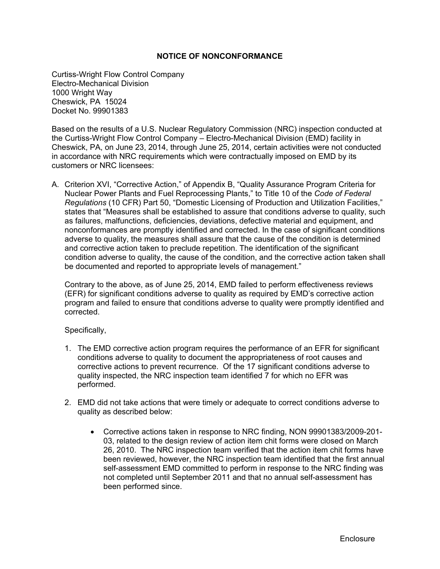### **NOTICE OF NONCONFORMANCE**

Curtiss-Wright Flow Control Company Electro-Mechanical Division 1000 Wright Way Cheswick, PA 15024 Docket No. 99901383

Based on the results of a U.S. Nuclear Regulatory Commission (NRC) inspection conducted at the Curtiss-Wright Flow Control Company – Electro-Mechanical Division (EMD) facility in Cheswick, PA, on June 23, 2014, through June 25, 2014, certain activities were not conducted in accordance with NRC requirements which were contractually imposed on EMD by its customers or NRC licensees:

A. Criterion XVI, "Corrective Action," of Appendix B, "Quality Assurance Program Criteria for Nuclear Power Plants and Fuel Reprocessing Plants," to Title 10 of the *Code of Federal Regulations* (10 CFR) Part 50, "Domestic Licensing of Production and Utilization Facilities," states that "Measures shall be established to assure that conditions adverse to quality, such as failures, malfunctions, deficiencies, deviations, defective material and equipment, and nonconformances are promptly identified and corrected. In the case of significant conditions adverse to quality, the measures shall assure that the cause of the condition is determined and corrective action taken to preclude repetition. The identification of the significant condition adverse to quality, the cause of the condition, and the corrective action taken shall be documented and reported to appropriate levels of management."

Contrary to the above, as of June 25, 2014, EMD failed to perform effectiveness reviews (EFR) for significant conditions adverse to quality as required by EMD's corrective action program and failed to ensure that conditions adverse to quality were promptly identified and corrected.

#### Specifically,

- 1. The EMD corrective action program requires the performance of an EFR for significant conditions adverse to quality to document the appropriateness of root causes and corrective actions to prevent recurrence. Of the 17 significant conditions adverse to quality inspected, the NRC inspection team identified 7 for which no EFR was performed.
- 2. EMD did not take actions that were timely or adequate to correct conditions adverse to quality as described below:
	- Corrective actions taken in response to NRC finding, NON 99901383/2009-201- 03, related to the design review of action item chit forms were closed on March 26, 2010. The NRC inspection team verified that the action item chit forms have been reviewed, however, the NRC inspection team identified that the first annual self-assessment EMD committed to perform in response to the NRC finding was not completed until September 2011 and that no annual self-assessment has been performed since.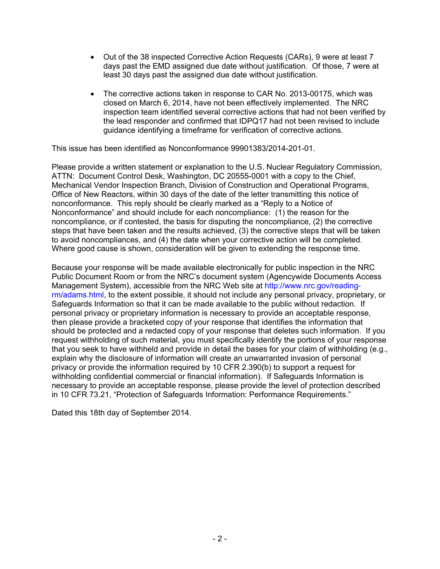- Out of the 38 inspected Corrective Action Requests (CARs), 9 were at least 7 days past the EMD assigned due date without justification. Of those, 7 were at least 30 days past the assigned due date without justification.
- The corrective actions taken in response to CAR No. 2013-00175, which was closed on March 6, 2014, have not been effectively implemented. The NRC inspection team identified several corrective actions that had not been verified by the lead responder and confirmed that IDPQ17 had not been revised to include guidance identifying a timeframe for verification of corrective actions.

This issue has been identified as Nonconformance 99901383/2014-201-01.

Please provide a written statement or explanation to the U.S. Nuclear Regulatory Commission, ATTN: Document Control Desk, Washington, DC 20555-0001 with a copy to the Chief, Mechanical Vendor Inspection Branch, Division of Construction and Operational Programs, Office of New Reactors, within 30 days of the date of the letter transmitting this notice of nonconformance. This reply should be clearly marked as a "Reply to a Notice of Nonconformance" and should include for each noncompliance: (1) the reason for the noncompliance, or if contested, the basis for disputing the noncompliance, (2) the corrective steps that have been taken and the results achieved, (3) the corrective steps that will be taken to avoid noncompliances, and (4) the date when your corrective action will be completed. Where good cause is shown, consideration will be given to extending the response time.

Because your response will be made available electronically for public inspection in the NRC Public Document Room or from the NRC's document system (Agencywide Documents Access Management System), accessible from the NRC Web site at http://www.nrc.gov/readingrm/adams.html, to the extent possible, it should not include any personal privacy, proprietary, or Safeguards Information so that it can be made available to the public without redaction. If personal privacy or proprietary information is necessary to provide an acceptable response, then please provide a bracketed copy of your response that identifies the information that should be protected and a redacted copy of your response that deletes such information. If you request withholding of such material, you must specifically identify the portions of your response that you seek to have withheld and provide in detail the bases for your claim of withholding (e.g., explain why the disclosure of information will create an unwarranted invasion of personal privacy or provide the information required by 10 CFR 2.390(b) to support a request for withholding confidential commercial or financial information). If Safeguards Information is necessary to provide an acceptable response, please provide the level of protection described in 10 CFR 73.21, "Protection of Safeguards Information: Performance Requirements."

Dated this 18th day of September 2014.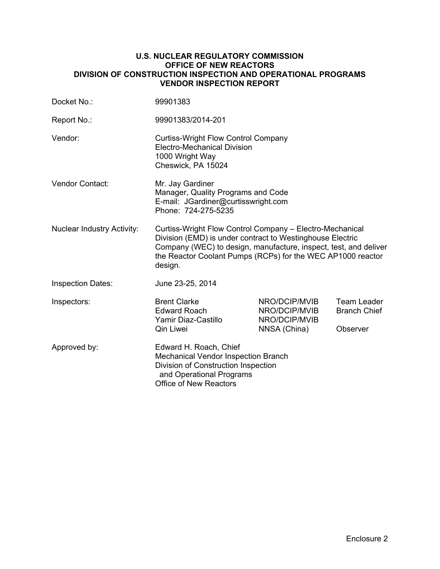#### **U.S. NUCLEAR REGULATORY COMMISSION OFFICE OF NEW REACTORS DIVISION OF CONSTRUCTION INSPECTION AND OPERATIONAL PROGRAMS VENDOR INSPECTION REPORT**

| Docket No.:                       | 99901383                                                                                                                                                                                                                                                            |                                                 |                                           |  |
|-----------------------------------|---------------------------------------------------------------------------------------------------------------------------------------------------------------------------------------------------------------------------------------------------------------------|-------------------------------------------------|-------------------------------------------|--|
| Report No.:                       | 99901383/2014-201                                                                                                                                                                                                                                                   |                                                 |                                           |  |
| Vendor:                           | <b>Curtiss-Wright Flow Control Company</b><br><b>Electro-Mechanical Division</b><br>1000 Wright Way<br>Cheswick, PA 15024                                                                                                                                           |                                                 |                                           |  |
| <b>Vendor Contact:</b>            | Mr. Jay Gardiner<br>Manager, Quality Programs and Code<br>E-mail: JGardiner@curtisswright.com<br>Phone: 724-275-5235                                                                                                                                                |                                                 |                                           |  |
| <b>Nuclear Industry Activity:</b> | Curtiss-Wright Flow Control Company - Electro-Mechanical<br>Division (EMD) is under contract to Westinghouse Electric<br>Company (WEC) to design, manufacture, inspect, test, and deliver<br>the Reactor Coolant Pumps (RCPs) for the WEC AP1000 reactor<br>design. |                                                 |                                           |  |
| <b>Inspection Dates:</b>          | June 23-25, 2014                                                                                                                                                                                                                                                    |                                                 |                                           |  |
| Inspectors:                       | <b>Brent Clarke</b><br><b>Edward Roach</b><br>Yamir Diaz-Castillo                                                                                                                                                                                                   | NRO/DCIP/MVIB<br>NRO/DCIP/MVIB<br>NRO/DCIP/MVIB | <b>Team Leader</b><br><b>Branch Chief</b> |  |
|                                   | Qin Liwei                                                                                                                                                                                                                                                           | NNSA (China)                                    | Observer                                  |  |
| Approved by:                      | Edward H. Roach, Chief<br><b>Mechanical Vendor Inspection Branch</b><br>Division of Construction Inspection<br>and Operational Programs<br><b>Office of New Reactors</b>                                                                                            |                                                 |                                           |  |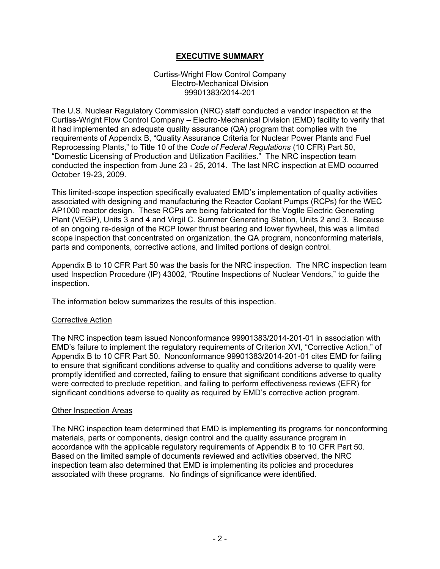### **EXECUTIVE SUMMARY**

#### Curtiss-Wright Flow Control Company Electro-Mechanical Division 99901383/2014-201

The U.S. Nuclear Regulatory Commission (NRC) staff conducted a vendor inspection at the Curtiss-Wright Flow Control Company – Electro-Mechanical Division (EMD) facility to verify that it had implemented an adequate quality assurance (QA) program that complies with the requirements of Appendix B, "Quality Assurance Criteria for Nuclear Power Plants and Fuel Reprocessing Plants," to Title 10 of the *Code of Federal Regulations* (10 CFR) Part 50, "Domestic Licensing of Production and Utilization Facilities." The NRC inspection team conducted the inspection from June 23 - 25, 2014. The last NRC inspection at EMD occurred October 19-23, 2009.

This limited-scope inspection specifically evaluated EMD's implementation of quality activities associated with designing and manufacturing the Reactor Coolant Pumps (RCPs) for the WEC AP1000 reactor design. These RCPs are being fabricated for the Vogtle Electric Generating Plant (VEGP), Units 3 and 4 and Virgil C. Summer Generating Station, Units 2 and 3. Because of an ongoing re-design of the RCP lower thrust bearing and lower flywheel, this was a limited scope inspection that concentrated on organization, the QA program, nonconforming materials, parts and components, corrective actions, and limited portions of design control.

Appendix B to 10 CFR Part 50 was the basis for the NRC inspection. The NRC inspection team used Inspection Procedure (IP) 43002, "Routine Inspections of Nuclear Vendors," to guide the inspection.

The information below summarizes the results of this inspection.

### Corrective Action

The NRC inspection team issued Nonconformance 99901383/2014-201-01 in association with EMD's failure to implement the regulatory requirements of Criterion XVI, "Corrective Action," of Appendix B to 10 CFR Part 50. Nonconformance 99901383/2014-201-01 cites EMD for failing to ensure that significant conditions adverse to quality and conditions adverse to quality were promptly identified and corrected, failing to ensure that significant conditions adverse to quality were corrected to preclude repetition, and failing to perform effectiveness reviews (EFR) for significant conditions adverse to quality as required by EMD's corrective action program.

#### Other Inspection Areas

The NRC inspection team determined that EMD is implementing its programs for nonconforming materials, parts or components, design control and the quality assurance program in accordance with the applicable regulatory requirements of Appendix B to 10 CFR Part 50. Based on the limited sample of documents reviewed and activities observed, the NRC inspection team also determined that EMD is implementing its policies and procedures associated with these programs. No findings of significance were identified.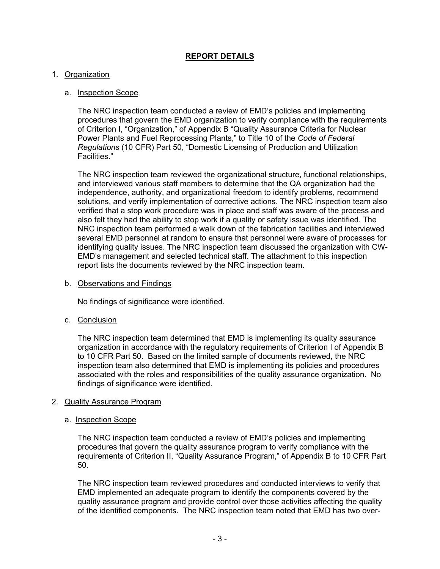### **REPORT DETAILS**

### 1. Organization

### a. Inspection Scope

The NRC inspection team conducted a review of EMD's policies and implementing procedures that govern the EMD organization to verify compliance with the requirements of Criterion I, "Organization," of Appendix B "Quality Assurance Criteria for Nuclear Power Plants and Fuel Reprocessing Plants," to Title 10 of the *Code of Federal Regulations* (10 CFR) Part 50, "Domestic Licensing of Production and Utilization Facilities."

 The NRC inspection team reviewed the organizational structure, functional relationships, and interviewed various staff members to determine that the QA organization had the independence, authority, and organizational freedom to identify problems, recommend solutions, and verify implementation of corrective actions. The NRC inspection team also verified that a stop work procedure was in place and staff was aware of the process and also felt they had the ability to stop work if a quality or safety issue was identified. The NRC inspection team performed a walk down of the fabrication facilities and interviewed several EMD personnel at random to ensure that personnel were aware of processes for identifying quality issues. The NRC inspection team discussed the organization with CW-EMD's management and selected technical staff. The attachment to this inspection report lists the documents reviewed by the NRC inspection team.

b. Observations and Findings

No findings of significance were identified.

c. Conclusion

The NRC inspection team determined that EMD is implementing its quality assurance organization in accordance with the regulatory requirements of Criterion I of Appendix B to 10 CFR Part 50. Based on the limited sample of documents reviewed, the NRC inspection team also determined that EMD is implementing its policies and procedures associated with the roles and responsibilities of the quality assurance organization. No findings of significance were identified.

#### 2. Quality Assurance Program

#### a. Inspection Scope

The NRC inspection team conducted a review of EMD's policies and implementing procedures that govern the quality assurance program to verify compliance with the requirements of Criterion II, "Quality Assurance Program," of Appendix B to 10 CFR Part 50.

The NRC inspection team reviewed procedures and conducted interviews to verify that EMD implemented an adequate program to identify the components covered by the quality assurance program and provide control over those activities affecting the quality of the identified components. The NRC inspection team noted that EMD has two over-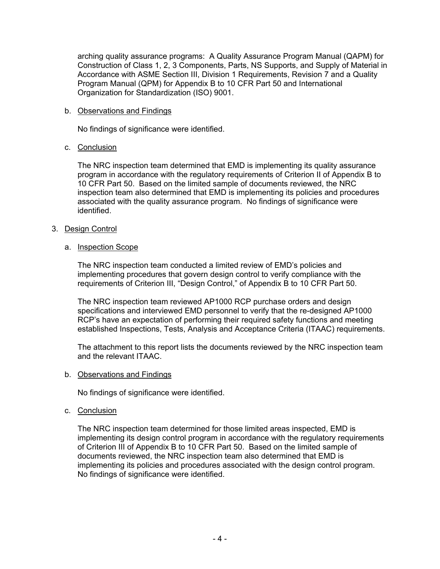arching quality assurance programs: A Quality Assurance Program Manual (QAPM) for Construction of Class 1, 2, 3 Components, Parts, NS Supports, and Supply of Material in Accordance with ASME Section III, Division 1 Requirements, Revision 7 and a Quality Program Manual (QPM) for Appendix B to 10 CFR Part 50 and International Organization for Standardization (ISO) 9001.

### b. Observations and Findings

No findings of significance were identified.

### c. Conclusion

 The NRC inspection team determined that EMD is implementing its quality assurance program in accordance with the regulatory requirements of Criterion II of Appendix B to 10 CFR Part 50. Based on the limited sample of documents reviewed, the NRC inspection team also determined that EMD is implementing its policies and procedures associated with the quality assurance program. No findings of significance were identified.

### 3. Design Control

### a. Inspection Scope

The NRC inspection team conducted a limited review of EMD's policies and implementing procedures that govern design control to verify compliance with the requirements of Criterion III, "Design Control," of Appendix B to 10 CFR Part 50.

The NRC inspection team reviewed AP1000 RCP purchase orders and design specifications and interviewed EMD personnel to verify that the re-designed AP1000 RCP's have an expectation of performing their required safety functions and meeting established Inspections, Tests, Analysis and Acceptance Criteria (ITAAC) requirements.

The attachment to this report lists the documents reviewed by the NRC inspection team and the relevant ITAAC.

#### b. Observations and Findings

No findings of significance were identified.

#### c. Conclusion

The NRC inspection team determined for those limited areas inspected, EMD is implementing its design control program in accordance with the regulatory requirements of Criterion III of Appendix B to 10 CFR Part 50. Based on the limited sample of documents reviewed, the NRC inspection team also determined that EMD is implementing its policies and procedures associated with the design control program. No findings of significance were identified.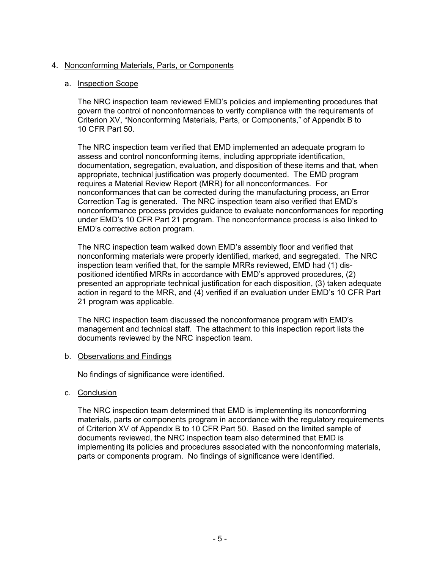### 4. Nonconforming Materials, Parts, or Components

### a. Inspection Scope

The NRC inspection team reviewed EMD's policies and implementing procedures that govern the control of nonconformances to verify compliance with the requirements of Criterion XV, "Nonconforming Materials, Parts, or Components," of Appendix B to 10 CFR Part 50.

The NRC inspection team verified that EMD implemented an adequate program to assess and control nonconforming items, including appropriate identification, documentation, segregation, evaluation, and disposition of these items and that, when appropriate, technical justification was properly documented. The EMD program requires a Material Review Report (MRR) for all nonconformances. For nonconformances that can be corrected during the manufacturing process, an Error Correction Tag is generated. The NRC inspection team also verified that EMD's nonconformance process provides guidance to evaluate nonconformances for reporting under EMD's 10 CFR Part 21 program. The nonconformance process is also linked to EMD's corrective action program.

The NRC inspection team walked down EMD's assembly floor and verified that nonconforming materials were properly identified, marked, and segregated. The NRC inspection team verified that, for the sample MRRs reviewed, EMD had (1) dispositioned identified MRRs in accordance with EMD's approved procedures, (2) presented an appropriate technical justification for each disposition, (3) taken adequate action in regard to the MRR, and (4) verified if an evaluation under EMD's 10 CFR Part 21 program was applicable.

The NRC inspection team discussed the nonconformance program with EMD's management and technical staff. The attachment to this inspection report lists the documents reviewed by the NRC inspection team.

#### b. Observations and Findings

No findings of significance were identified.

c. Conclusion

 The NRC inspection team determined that EMD is implementing its nonconforming materials, parts or components program in accordance with the regulatory requirements of Criterion XV of Appendix B to 10 CFR Part 50. Based on the limited sample of documents reviewed, the NRC inspection team also determined that EMD is implementing its policies and procedures associated with the nonconforming materials, parts or components program. No findings of significance were identified.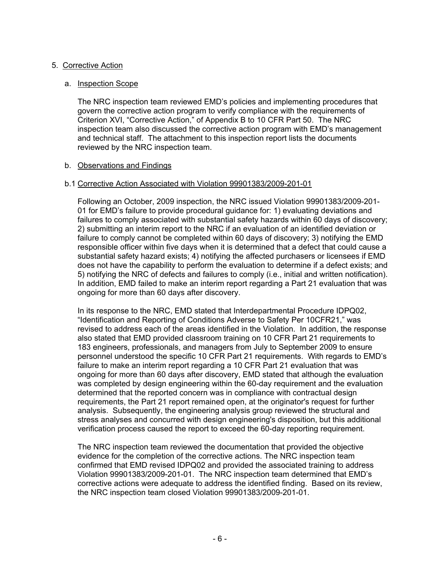### 5. Corrective Action

### a. Inspection Scope

The NRC inspection team reviewed EMD's policies and implementing procedures that govern the corrective action program to verify compliance with the requirements of Criterion XVI, "Corrective Action," of Appendix B to 10 CFR Part 50. The NRC inspection team also discussed the corrective action program with EMD's management and technical staff. The attachment to this inspection report lists the documents reviewed by the NRC inspection team.

### b. Observations and Findings

### b.1 Corrective Action Associated with Violation 99901383/2009-201-01

Following an October, 2009 inspection, the NRC issued Violation 99901383/2009-201- 01 for EMD's failure to provide procedural guidance for: 1) evaluating deviations and failures to comply associated with substantial safety hazards within 60 days of discovery; 2) submitting an interim report to the NRC if an evaluation of an identified deviation or failure to comply cannot be completed within 60 days of discovery; 3) notifying the EMD responsible officer within five days when it is determined that a defect that could cause a substantial safety hazard exists; 4) notifying the affected purchasers or licensees if EMD does not have the capability to perform the evaluation to determine if a defect exists; and 5) notifying the NRC of defects and failures to comply (i.e., initial and written notification). In addition, EMD failed to make an interim report regarding a Part 21 evaluation that was ongoing for more than 60 days after discovery.

In its response to the NRC, EMD stated that Interdepartmental Procedure IDPQ02, "Identification and Reporting of Conditions Adverse to Safety Per 10CFR21," was revised to address each of the areas identified in the Violation. In addition, the response also stated that EMD provided classroom training on 10 CFR Part 21 requirements to 183 engineers, professionals, and managers from July to September 2009 to ensure personnel understood the specific 10 CFR Part 21 requirements. With regards to EMD's failure to make an interim report regarding a 10 CFR Part 21 evaluation that was ongoing for more than 60 days after discovery, EMD stated that although the evaluation was completed by design engineering within the 60-day requirement and the evaluation determined that the reported concern was in compliance with contractual design requirements, the Part 21 report remained open, at the originator's request for further analysis. Subsequently, the engineering analysis group reviewed the structural and stress analyses and concurred with design engineering's disposition, but this additional verification process caused the report to exceed the 60-day reporting requirement.

The NRC inspection team reviewed the documentation that provided the objective evidence for the completion of the corrective actions. The NRC inspection team confirmed that EMD revised IDPQ02 and provided the associated training to address Violation 99901383/2009-201-01. The NRC inspection team determined that EMD's corrective actions were adequate to address the identified finding. Based on its review, the NRC inspection team closed Violation 99901383/2009-201-01.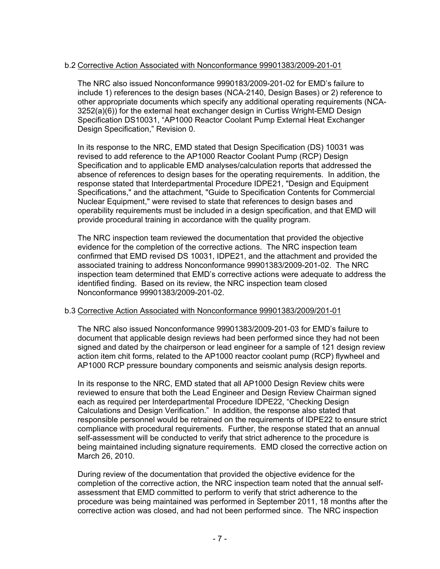### b.2 Corrective Action Associated with Nonconformance 99901383/2009-201-01

The NRC also issued Nonconformance 9990183/2009-201-02 for EMD's failure to include 1) references to the design bases (NCA-2140, Design Bases) or 2) reference to other appropriate documents which specify any additional operating requirements (NCA-3252(a)(6)) for the external heat exchanger design in Curtiss Wright-EMD Design Specification DS10031, "AP1000 Reactor Coolant Pump External Heat Exchanger Design Specification," Revision 0.

In its response to the NRC, EMD stated that Design Specification (DS) 10031 was revised to add reference to the AP1000 Reactor Coolant Pump (RCP) Design Specification and to applicable EMD analyses/calculation reports that addressed the absence of references to design bases for the operating requirements. In addition, the response stated that Interdepartmental Procedure IDPE21, "Design and Equipment Specifications," and the attachment, "Guide to Specification Contents for Commercial Nuclear Equipment," were revised to state that references to design bases and operability requirements must be included in a design specification, and that EMD will provide procedural training in accordance with the quality program.

The NRC inspection team reviewed the documentation that provided the objective evidence for the completion of the corrective actions. The NRC inspection team confirmed that EMD revised DS 10031, IDPE21, and the attachment and provided the associated training to address Nonconformance 99901383/2009-201-02. The NRC inspection team determined that EMD's corrective actions were adequate to address the identified finding. Based on its review, the NRC inspection team closed Nonconformance 99901383/2009-201-02.

### b.3 Corrective Action Associated with Nonconformance 99901383/2009/201-01

The NRC also issued Nonconformance 99901383/2009-201-03 for EMD's failure to document that applicable design reviews had been performed since they had not been signed and dated by the chairperson or lead engineer for a sample of 121 design review action item chit forms, related to the AP1000 reactor coolant pump (RCP) flywheel and AP1000 RCP pressure boundary components and seismic analysis design reports.

In its response to the NRC, EMD stated that all AP1000 Design Review chits were reviewed to ensure that both the Lead Engineer and Design Review Chairman signed each as required per Interdepartmental Procedure IDPE22, "Checking Design Calculations and Design Verification." In addition, the response also stated that responsible personnel would be retrained on the requirements of IDPE22 to ensure strict compliance with procedural requirements. Further, the response stated that an annual self-assessment will be conducted to verify that strict adherence to the procedure is being maintained including signature requirements. EMD closed the corrective action on March 26, 2010.

During review of the documentation that provided the objective evidence for the completion of the corrective action, the NRC inspection team noted that the annual selfassessment that EMD committed to perform to verify that strict adherence to the procedure was being maintained was performed in September 2011, 18 months after the corrective action was closed, and had not been performed since. The NRC inspection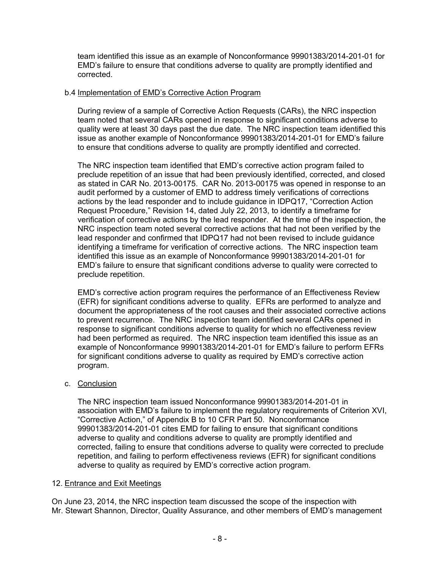team identified this issue as an example of Nonconformance 99901383/2014-201-01 for EMD's failure to ensure that conditions adverse to quality are promptly identified and corrected.

### b.4 Implementation of EMD's Corrective Action Program

During review of a sample of Corrective Action Requests (CARs), the NRC inspection team noted that several CARs opened in response to significant conditions adverse to quality were at least 30 days past the due date. The NRC inspection team identified this issue as another example of Nonconformance 99901383/2014-201-01 for EMD's failure to ensure that conditions adverse to quality are promptly identified and corrected.

The NRC inspection team identified that EMD's corrective action program failed to preclude repetition of an issue that had been previously identified, corrected, and closed as stated in CAR No. 2013-00175. CAR No. 2013-00175 was opened in response to an audit performed by a customer of EMD to address timely verifications of corrections actions by the lead responder and to include guidance in IDPQ17, "Correction Action Request Procedure," Revision 14, dated July 22, 2013, to identify a timeframe for verification of corrective actions by the lead responder. At the time of the inspection, the NRC inspection team noted several corrective actions that had not been verified by the lead responder and confirmed that IDPQ17 had not been revised to include guidance identifying a timeframe for verification of corrective actions. The NRC inspection team identified this issue as an example of Nonconformance 99901383/2014-201-01 for EMD's failure to ensure that significant conditions adverse to quality were corrected to preclude repetition.

EMD's corrective action program requires the performance of an Effectiveness Review (EFR) for significant conditions adverse to quality. EFRs are performed to analyze and document the appropriateness of the root causes and their associated corrective actions to prevent recurrence. The NRC inspection team identified several CARs opened in response to significant conditions adverse to quality for which no effectiveness review had been performed as required. The NRC inspection team identified this issue as an example of Nonconformance 99901383/2014-201-01 for EMD's failure to perform EFRs for significant conditions adverse to quality as required by EMD's corrective action program.

c. Conclusion

The NRC inspection team issued Nonconformance 99901383/2014-201-01 in association with EMD's failure to implement the regulatory requirements of Criterion XVI, "Corrective Action," of Appendix B to 10 CFR Part 50. Nonconformance 99901383/2014-201-01 cites EMD for failing to ensure that significant conditions adverse to quality and conditions adverse to quality are promptly identified and corrected, failing to ensure that conditions adverse to quality were corrected to preclude repetition, and failing to perform effectiveness reviews (EFR) for significant conditions adverse to quality as required by EMD's corrective action program.

#### 12. Entrance and Exit Meetings

On June 23, 2014, the NRC inspection team discussed the scope of the inspection with Mr. Stewart Shannon, Director, Quality Assurance, and other members of EMD's management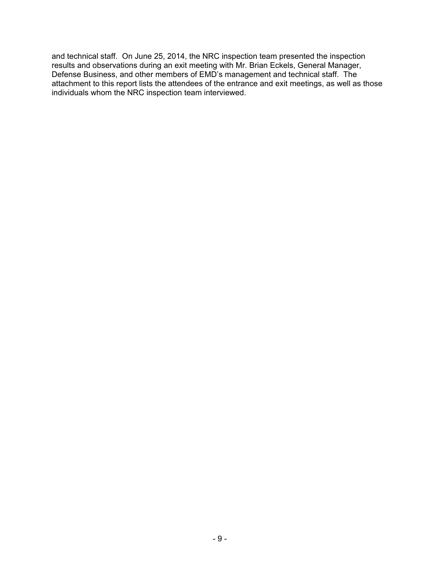and technical staff. On June 25, 2014, the NRC inspection team presented the inspection results and observations during an exit meeting with Mr. Brian Eckels, General Manager, Defense Business, and other members of EMD's management and technical staff. The attachment to this report lists the attendees of the entrance and exit meetings, as well as those individuals whom the NRC inspection team interviewed.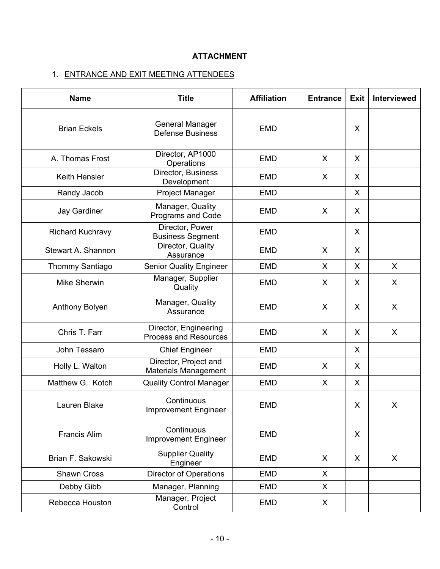## **ATTACHMENT**

# 1. ENTRANCE AND EXIT MEETING ATTENDEES

| <b>Name</b>             | <b>Title</b>                                          | <b>Affiliation</b> | <b>Entrance</b> | <b>Exit</b> | Interviewed |
|-------------------------|-------------------------------------------------------|--------------------|-----------------|-------------|-------------|
| <b>Brian Eckels</b>     | <b>General Manager</b><br><b>Defense Business</b>     | <b>EMD</b>         |                 | X           |             |
| A. Thomas Frost         | Director, AP1000<br>Operations                        | <b>EMD</b>         | $\mathsf{X}$    | X           |             |
| <b>Keith Hensler</b>    | Director, Business<br>Development                     | <b>EMD</b>         | X               | X           |             |
| Randy Jacob             | Project Manager                                       | <b>EMD</b>         |                 | X           |             |
| <b>Jay Gardiner</b>     | Manager, Quality<br>Programs and Code                 | <b>EMD</b>         | $\sf X$         | X           |             |
| <b>Richard Kuchravy</b> | Director, Power<br><b>Business Segment</b>            | <b>EMD</b>         |                 | X           |             |
| Stewart A. Shannon      | Director, Quality<br>Assurance                        | <b>EMD</b>         | X               | X           |             |
| <b>Thommy Santiago</b>  | <b>Senior Quality Engineer</b>                        | <b>EMD</b>         | X               | X           | X           |
| <b>Mike Sherwin</b>     | Manager, Supplier<br>Quality                          | <b>EMD</b>         | X               | X           | X           |
| Anthony Bolyen          | Manager, Quality<br>Assurance                         | <b>EMD</b>         | $\sf X$         | X           | X           |
| Chris T. Farr           | Director, Engineering<br><b>Process and Resources</b> | <b>EMD</b>         | $\sf X$         | X           | X           |
| John Tessaro            | <b>Chief Engineer</b>                                 | <b>EMD</b>         |                 | X           |             |
| Holly L. Walton         | Director, Project and<br><b>Materials Management</b>  | <b>EMD</b>         | X               | X           |             |
| Matthew G. Kotch        | <b>Quality Control Manager</b>                        | <b>EMD</b>         | X               | X           |             |
| Lauren Blake            | Continuous<br><b>Improvement Engineer</b>             | <b>EMD</b>         |                 | X           | X           |
| <b>Francis Alim</b>     | Continuous<br><b>Improvement Engineer</b>             | <b>EMD</b>         |                 | X           |             |
| Brian F. Sakowski       | <b>Supplier Quality</b><br>Engineer                   | <b>EMD</b>         | X               | X           | X           |
| <b>Shawn Cross</b>      | <b>Director of Operations</b>                         | <b>EMD</b>         | X               |             |             |
| Debby Gibb              | Manager, Planning                                     | <b>EMD</b>         | X               |             |             |
| Rebecca Houston         | Manager, Project<br>Control                           | <b>EMD</b>         | X               |             |             |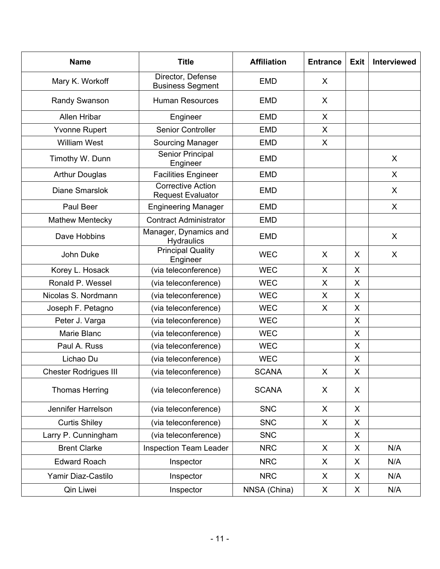| <b>Name</b>                  | <b>Title</b>                                         |              | <b>Entrance</b> | <b>Exit</b> | Interviewed |
|------------------------------|------------------------------------------------------|--------------|-----------------|-------------|-------------|
| Mary K. Workoff              | Director, Defense<br><b>Business Segment</b>         | <b>EMD</b>   | X               |             |             |
| Randy Swanson                | Human Resources                                      | <b>EMD</b>   | X               |             |             |
| Allen Hribar                 | Engineer                                             | <b>EMD</b>   | X               |             |             |
| <b>Yvonne Rupert</b>         | <b>Senior Controller</b>                             | <b>EMD</b>   | X               |             |             |
| <b>William West</b>          | Sourcing Manager                                     | <b>EMD</b>   | X               |             |             |
| Timothy W. Dunn              | Senior Principal<br>Engineer                         | <b>EMD</b>   |                 |             | X           |
| <b>Arthur Douglas</b>        | <b>Facilities Engineer</b>                           | <b>EMD</b>   |                 |             | X           |
| <b>Diane Smarslok</b>        | <b>Corrective Action</b><br><b>Request Evaluator</b> | <b>EMD</b>   |                 |             | X           |
| Paul Beer                    | <b>Engineering Manager</b>                           | <b>EMD</b>   |                 |             | X           |
| <b>Mathew Mentecky</b>       | <b>Contract Administrator</b>                        | <b>EMD</b>   |                 |             |             |
| Dave Hobbins                 | Manager, Dynamics and<br>Hydraulics                  | <b>EMD</b>   |                 |             | X           |
| John Duke                    | <b>Principal Quality</b><br>Engineer                 | <b>WEC</b>   | X               | X           | X           |
| Korey L. Hosack              | (via teleconference)                                 | <b>WEC</b>   | X               | X           |             |
| Ronald P. Wessel             | (via teleconference)                                 | <b>WEC</b>   | X               | X           |             |
| Nicolas S. Nordmann          | (via teleconference)                                 | <b>WEC</b>   | X               | $\sf X$     |             |
| Joseph F. Petagno            | (via teleconference)                                 | <b>WEC</b>   | X               | X           |             |
| Peter J. Varga               | (via teleconference)                                 | <b>WEC</b>   |                 | X           |             |
| Marie Blanc                  | (via teleconference)                                 | <b>WEC</b>   |                 | X           |             |
| Paul A. Russ                 | (via teleconference)                                 | <b>WEC</b>   |                 | X           |             |
| Lichao Du                    | (via teleconference)                                 | <b>WEC</b>   |                 | X           |             |
| <b>Chester Rodrigues III</b> | (via teleconference)                                 | <b>SCANA</b> | X               | X           |             |
| <b>Thomas Herring</b>        | (via teleconference)                                 | <b>SCANA</b> | X               | X           |             |
| Jennifer Harrelson           | (via teleconference)                                 |              | X               | X           |             |
| <b>Curtis Shiley</b>         | (via teleconference)                                 | <b>SNC</b>   | X               | X           |             |
| Larry P. Cunningham          | (via teleconference)                                 | <b>SNC</b>   |                 | X           |             |
| <b>Brent Clarke</b>          | <b>Inspection Team Leader</b>                        | <b>NRC</b>   | X               | X           | N/A         |
| <b>Edward Roach</b>          | Inspector                                            | <b>NRC</b>   | X               | X           | N/A         |
| Yamir Diaz-Castilo           | Inspector                                            | <b>NRC</b>   | X               | X           | N/A         |
| Qin Liwei                    | Inspector                                            | NNSA (China) | X               | X           | N/A         |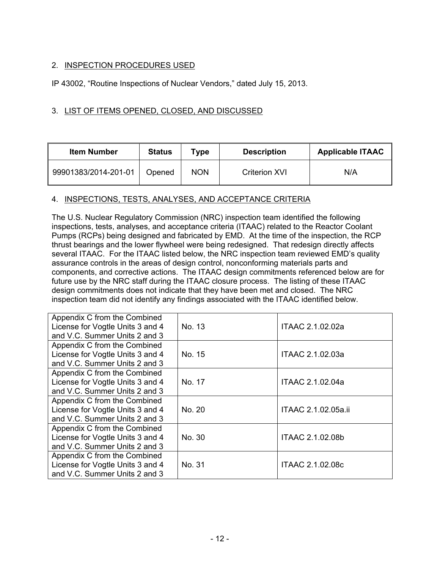## 2. INSPECTION PROCEDURES USED

IP 43002, "Routine Inspections of Nuclear Vendors," dated July 15, 2013.

### 3. LIST OF ITEMS OPENED, CLOSED, AND DISCUSSED

| <b>Item Number</b>   | <b>Status</b> | Type       | <b>Description</b>   | <b>Applicable ITAAC</b> |
|----------------------|---------------|------------|----------------------|-------------------------|
| 99901383/2014-201-01 | Opened        | <b>NON</b> | <b>Criterion XVI</b> | N/A                     |

### 4. INSPECTIONS, TESTS, ANALYSES, AND ACCEPTANCE CRITERIA

The U.S. Nuclear Regulatory Commission (NRC) inspection team identified the following inspections, tests, analyses, and acceptance criteria (ITAAC) related to the Reactor Coolant Pumps (RCPs) being designed and fabricated by EMD. At the time of the inspection, the RCP thrust bearings and the lower flywheel were being redesigned. That redesign directly affects several ITAAC. For the ITAAC listed below, the NRC inspection team reviewed EMD's quality assurance controls in the areas of design control, nonconforming materials parts and components, and corrective actions. The ITAAC design commitments referenced below are for future use by the NRC staff during the ITAAC closure process. The listing of these ITAAC design commitments does not indicate that they have been met and closed. The NRC inspection team did not identify any findings associated with the ITAAC identified below.

| Appendix C from the Combined<br>License for Vogtle Units 3 and 4<br>and V.C. Summer Units 2 and 3 | No. 13 | ITAAC 2.1.02.02a    |
|---------------------------------------------------------------------------------------------------|--------|---------------------|
| Appendix C from the Combined<br>License for Vogtle Units 3 and 4<br>and V.C. Summer Units 2 and 3 | No. 15 | ITAAC 2.1.02.03a    |
| Appendix C from the Combined<br>License for Vogtle Units 3 and 4<br>and V.C. Summer Units 2 and 3 | No. 17 | ITAAC 2.1.02.04a    |
| Appendix C from the Combined<br>License for Vogtle Units 3 and 4<br>and V.C. Summer Units 2 and 3 | No. 20 | ITAAC 2.1.02.05a.ii |
| Appendix C from the Combined<br>License for Vogtle Units 3 and 4<br>and V.C. Summer Units 2 and 3 | No. 30 | ITAAC 2.1.02.08b    |
| Appendix C from the Combined<br>License for Vogtle Units 3 and 4<br>and V.C. Summer Units 2 and 3 | No. 31 | ITAAC 2.1.02.08c    |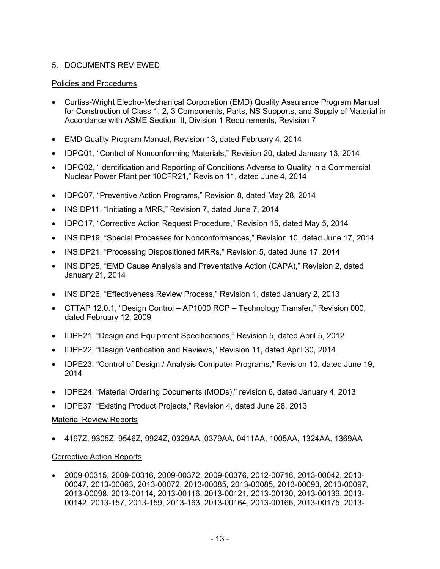## 5. DOCUMENTS REVIEWED

### Policies and Procedures

- Curtiss-Wright Electro-Mechanical Corporation (EMD) Quality Assurance Program Manual for Construction of Class 1, 2, 3 Components, Parts, NS Supports, and Supply of Material in Accordance with ASME Section III, Division 1 Requirements, Revision 7
- EMD Quality Program Manual, Revision 13, dated February 4, 2014
- IDPQ01, "Control of Nonconforming Materials," Revision 20, dated January 13, 2014
- IDPQ02, "Identification and Reporting of Conditions Adverse to Quality in a Commercial Nuclear Power Plant per 10CFR21," Revision 11, dated June 4, 2014
- IDPQ07, "Preventive Action Programs," Revision 8, dated May 28, 2014
- INSIDP11, "Initiating a MRR," Revision 7, dated June 7, 2014
- IDPQ17, "Corrective Action Request Procedure," Revision 15, dated May 5, 2014
- INSIDP19, "Special Processes for Nonconformances," Revision 10, dated June 17, 2014
- INSIDP21, "Processing Dispositioned MRRs," Revision 5, dated June 17, 2014
- INSIDP25, "EMD Cause Analysis and Preventative Action (CAPA)," Revision 2, dated January 21, 2014
- INSIDP26, "Effectiveness Review Process," Revision 1, dated January 2, 2013
- CTTAP 12.0.1, "Design Control AP1000 RCP Technology Transfer," Revision 000, dated February 12, 2009
- IDPE21, "Design and Equipment Specifications," Revision 5, dated April 5, 2012
- IDPE22, "Design Verification and Reviews," Revision 11, dated April 30, 2014
- IDPE23, "Control of Design / Analysis Computer Programs," Revision 10, dated June 19, 2014
- IDPE24, "Material Ordering Documents (MODs)," revision 6, dated January 4, 2013
- IDPE37, "Existing Product Projects," Revision 4, dated June 28, 2013

### Material Review Reports

• 4197Z, 9305Z, 9546Z, 9924Z, 0329AA, 0379AA, 0411AA, 1005AA, 1324AA, 1369AA

### Corrective Action Reports

• 2009-00315, 2009-00316, 2009-00372, 2009-00376, 2012-00716, 2013-00042, 2013- 00047, 2013-00063, 2013-00072, 2013-00085, 2013-00085, 2013-00093, 2013-00097, 2013-00098, 2013-00114, 2013-00116, 2013-00121, 2013-00130, 2013-00139, 2013- 00142, 2013-157, 2013-159, 2013-163, 2013-00164, 2013-00166, 2013-00175, 2013